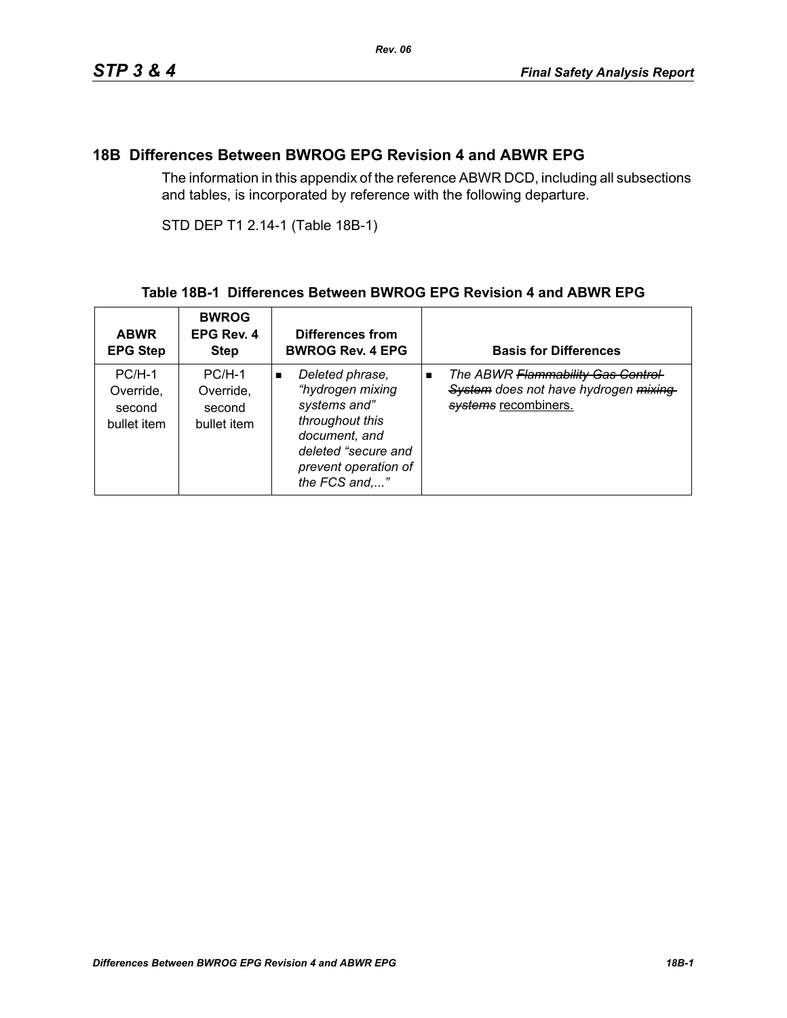### **18B Differences Between BWROG EPG Revision 4 and ABWR EPG**

The information in this appendix of the reference ABWR DCD, including all subsections and tables, is incorporated by reference with the following departure.

STD DEP T1 2.14-1 (Table 18B-1)

#### **Table 18B-1 Differences Between BWROG EPG Revision 4 and ABWR EPG**

| <b>ABWR</b><br><b>EPG Step</b>                 | <b>BWROG</b><br>EPG Rev. 4<br><b>Step</b>      | Differences from<br><b>BWROG Rev. 4 EPG</b>                                                                                                                               | <b>Basis for Differences</b>                                                                                                   |
|------------------------------------------------|------------------------------------------------|---------------------------------------------------------------------------------------------------------------------------------------------------------------------------|--------------------------------------------------------------------------------------------------------------------------------|
| $PC/H-1$<br>Override,<br>second<br>bullet item | $PC/H-1$<br>Override.<br>second<br>bullet item | Deleted phrase,<br>$\blacksquare$<br>"hydrogen mixing<br>systems and"<br>throughout this<br>document, and<br>deleted "secure and<br>prevent operation of<br>the FCS and," | The ABWR <del>Flammability Gas Control</del><br>$\blacksquare$<br>System does not have hydrogen mixing<br>systems recombiners. |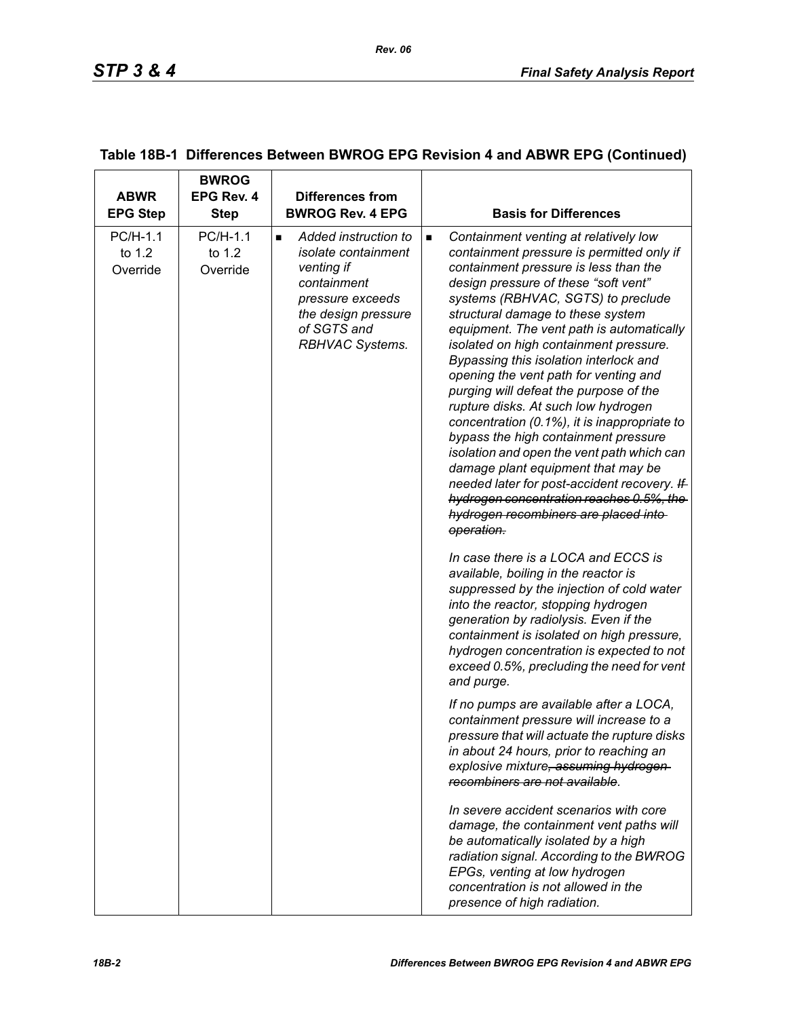| <b>ABWR</b><br><b>EPG Step</b> | <b>BWROG</b><br>EPG Rev. 4<br><b>Step</b> | <b>Differences from</b><br><b>BWROG Rev. 4 EPG</b>                                                                                                                      | <b>Basis for Differences</b>                                                                                                                                                                                                                                                                                                                                                                                                                                                                                                                                                                                                                                                                                                                                                                                                                              |
|--------------------------------|-------------------------------------------|-------------------------------------------------------------------------------------------------------------------------------------------------------------------------|-----------------------------------------------------------------------------------------------------------------------------------------------------------------------------------------------------------------------------------------------------------------------------------------------------------------------------------------------------------------------------------------------------------------------------------------------------------------------------------------------------------------------------------------------------------------------------------------------------------------------------------------------------------------------------------------------------------------------------------------------------------------------------------------------------------------------------------------------------------|
| PC/H-1.1<br>to 1.2<br>Override | PC/H-1.1<br>to 1.2<br>Override            | Added instruction to<br>$\blacksquare$<br>isolate containment<br>venting if<br>containment<br>pressure exceeds<br>the design pressure<br>of SGTS and<br>RBHVAC Systems. | Containment venting at relatively low<br>$\blacksquare$<br>containment pressure is permitted only if<br>containment pressure is less than the<br>design pressure of these "soft vent"<br>systems (RBHVAC, SGTS) to preclude<br>structural damage to these system<br>equipment. The vent path is automatically<br>isolated on high containment pressure.<br>Bypassing this isolation interlock and<br>opening the vent path for venting and<br>purging will defeat the purpose of the<br>rupture disks. At such low hydrogen<br>concentration (0.1%), it is inappropriate to<br>bypass the high containment pressure<br>isolation and open the vent path which can<br>damage plant equipment that may be<br>needed later for post-accident recovery. If<br>hydrogen concentration reaches 0.5%, the<br>hydrogen recombiners are placed into-<br>operation. |
|                                |                                           |                                                                                                                                                                         | In case there is a LOCA and ECCS is<br>available, boiling in the reactor is<br>suppressed by the injection of cold water<br>into the reactor, stopping hydrogen<br>generation by radiolysis. Even if the<br>containment is isolated on high pressure,<br>hydrogen concentration is expected to not<br>exceed 0.5%, precluding the need for vent<br>and purge.                                                                                                                                                                                                                                                                                                                                                                                                                                                                                             |
|                                |                                           |                                                                                                                                                                         | If no pumps are available after a LOCA,<br>containment pressure will increase to a<br>pressure that will actuate the rupture disks<br>in about 24 hours, prior to reaching an<br>explosive mixture, assuming hydrogen-<br>recombiners are not available.                                                                                                                                                                                                                                                                                                                                                                                                                                                                                                                                                                                                  |
|                                |                                           |                                                                                                                                                                         | In severe accident scenarios with core<br>damage, the containment vent paths will<br>be automatically isolated by a high<br>radiation signal. According to the BWROG<br>EPGs, venting at low hydrogen<br>concentration is not allowed in the<br>presence of high radiation.                                                                                                                                                                                                                                                                                                                                                                                                                                                                                                                                                                               |

### **Table 18B-1 Differences Between BWROG EPG Revision 4 and ABWR EPG (Continued)**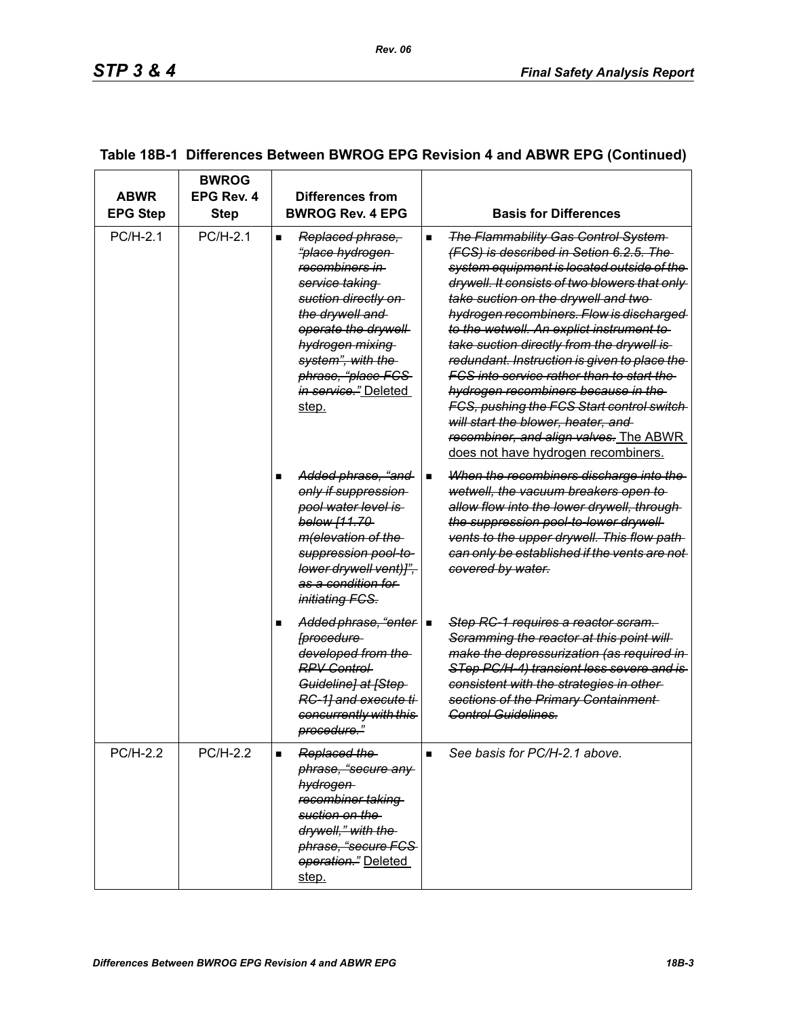| <b>ABWR</b><br><b>EPG Step</b> | <b>BWROG</b><br>EPG Rev. 4<br><b>Step</b> | Differences from<br><b>BWROG Rev. 4 EPG</b>                                                                                                                                                                                                                                   | <b>Basis for Differences</b>                                                                                                                                                                                                                                                                                                                                                                                                                                                                                                                                                                                                                                                       |
|--------------------------------|-------------------------------------------|-------------------------------------------------------------------------------------------------------------------------------------------------------------------------------------------------------------------------------------------------------------------------------|------------------------------------------------------------------------------------------------------------------------------------------------------------------------------------------------------------------------------------------------------------------------------------------------------------------------------------------------------------------------------------------------------------------------------------------------------------------------------------------------------------------------------------------------------------------------------------------------------------------------------------------------------------------------------------|
| $PC/H-2.1$                     | PC/H-2.1                                  | Replaced phrase,<br>$\blacksquare$<br><del>"place hydrogen-</del><br>recombiners in<br>service taking<br>suction directly on<br>the drywell and<br>operate the drywell<br>hydrogen mixing<br>system", with the<br>phrase, "place FCS<br><i>in service.</i> " Deleted<br>step. | <b>The Flammability Gas Control System-</b><br>(FCS) is described in Setion 6.2.5. The<br>system equipment is located outside of the<br>drywell. It consists of two blowers that only<br>take suction on the drywell and two-<br>hydrogen recombiners. Flow is discharged<br>to the wetwell. An explict instrument to<br>take suction directly from the drywell is<br>redundant. Instruction is given to place the<br><u>FCS into service rather than to start the </u><br>hydrogen recombiners because in the<br>FCS, pushing the FCS Start control switch<br>will start the blower, heater, and<br>recombiner, and align valves. The ABWR<br>does not have hydrogen recombiners. |
|                                |                                           | Added phrase, "and-<br>only if suppression<br>pool water level is<br>below [11.70-<br>m(elevation of the<br>suppression pool-to-<br>lower drywell vent)]",<br>as a condition for<br><i>initiating FCS.</i>                                                                    | When the recombiners discharge into the<br>п<br>wetwell, the vacuum breakers open to<br>allow flow into the lower drywell, through-<br>the suppression pool-to-lower drywell-<br>vents to the upper drywell. This flow path<br>can only be established if the vents are not<br>covered by water.                                                                                                                                                                                                                                                                                                                                                                                   |
|                                |                                           | Added phrase, "enter   ■<br><i><u><b>[procedure</b></u></i><br>developed from the<br><b>RPV Control</b><br>Guideline] at [Step-<br>RC-1] and execute ti<br>concurrently with this<br>procedure."                                                                              | Step RC-1 requires a reactor scram.<br>Scramming the reactor at this point will<br>make the depressurization (as required in<br>STep PC/H-4) transient less severe and is<br>consistent with the strategies in other<br>sections of the Primary Containment<br>Control Guidelines.                                                                                                                                                                                                                                                                                                                                                                                                 |
| <b>PC/H-2.2</b>                | PC/H-2.2                                  | Replaced the<br>■<br>phrase, "secure any<br>hydrogen<br>recombiner taking<br>suction on the<br>drywell," with the<br>phrase, "secure FCS-<br>operation." Deleted<br>step.                                                                                                     | See basis for PC/H-2.1 above.<br>$\blacksquare$                                                                                                                                                                                                                                                                                                                                                                                                                                                                                                                                                                                                                                    |

# **Table 18B-1 Differences Between BWROG EPG Revision 4 and ABWR EPG (Continued)**